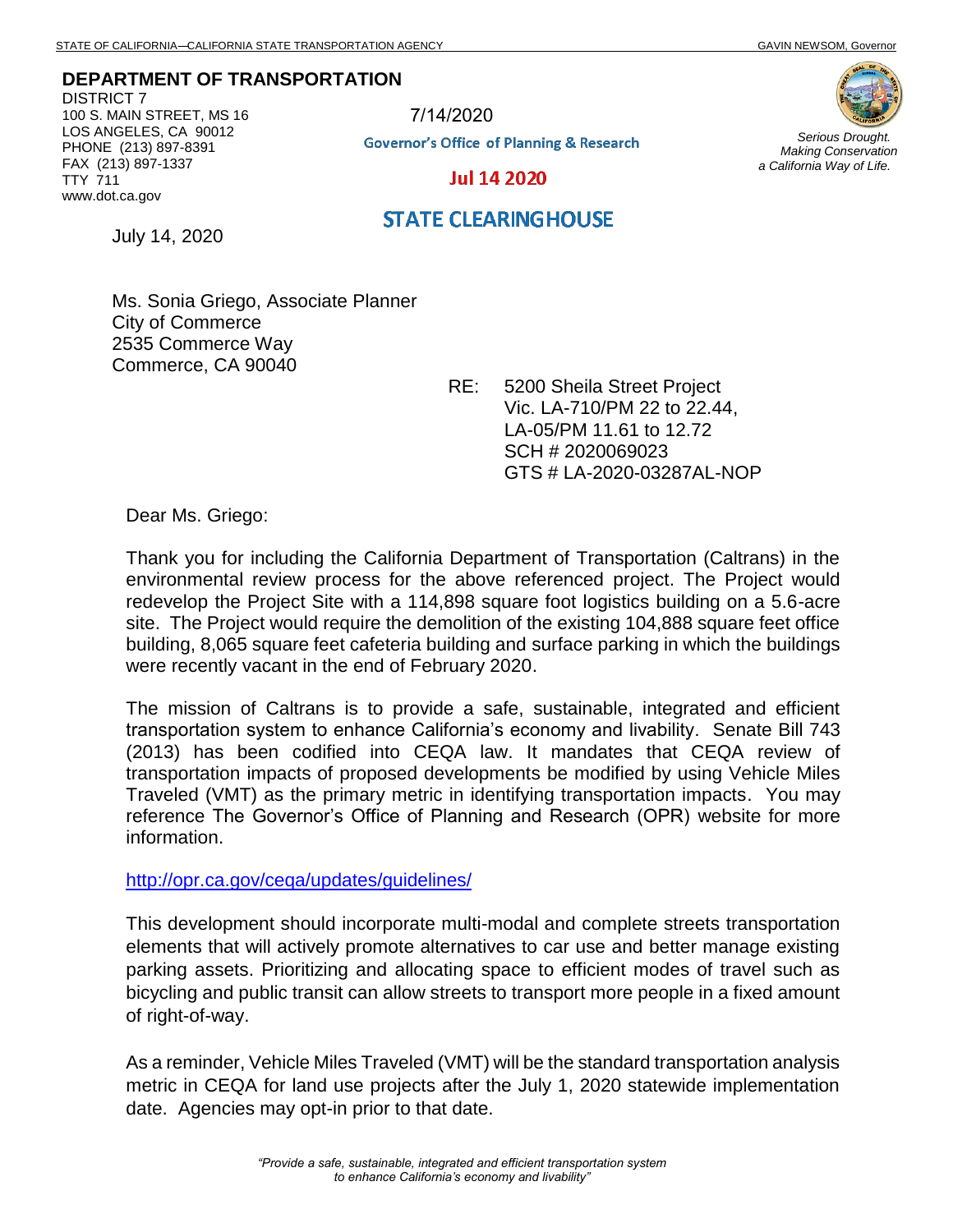## **DEPARTMENT OF TRANSPORTATION**

DISTRICT 7 100 S. MAIN STREET, MS 16 LOS ANGELES, CA 90012 PHONE (213) 897-8391 FAX (213) 897-1337 TTY 711 www.dot.ca.gov

7/14/2020**Governor's Office of Planning & Research** 



*Serious Drought. Making Conservation a California Way of Life.*

**Jul 14 2020** 

July 14, 2020

**STATE CLEARINGHOUSE** 

Ms. Sonia Griego, Associate Planner City of Commerce 2535 Commerce Way Commerce, CA 90040

RE: 5200 Sheila Street Project Vic. LA-710/PM 22 to 22.44, LA-05/PM 11.61 to 12.72 SCH # 2020069023 GTS # LA-2020-03287AL-NOP

Dear Ms. Griego:

Thank you for including the California Department of Transportation (Caltrans) in the environmental review process for the above referenced project. The Project would redevelop the Project Site with a 114,898 square foot logistics building on a 5.6-acre site. The Project would require the demolition of the existing 104,888 square feet office building, 8,065 square feet cafeteria building and surface parking in which the buildings were recently vacant in the end of February 2020.

The mission of Caltrans is to provide a safe, sustainable, integrated and efficient transportation system to enhance California's economy and livability. Senate Bill 743 (2013) has been codified into CEQA law. It mandates that CEQA review of transportation impacts of proposed developments be modified by using Vehicle Miles Traveled (VMT) as the primary metric in identifying transportation impacts. You may reference The Governor's Office of Planning and Research (OPR) website for more information.

<http://opr.ca.gov/ceqa/updates/guidelines/>

This development should incorporate multi-modal and complete streets transportation elements that will actively promote alternatives to car use and better manage existing parking assets. Prioritizing and allocating space to efficient modes of travel such as bicycling and public transit can allow streets to transport more people in a fixed amount of right-of-way.

As a reminder, Vehicle Miles Traveled (VMT) will be the standard transportation analysis metric in CEQA for land use projects after the July 1, 2020 statewide implementation date. Agencies may opt-in prior to that date.